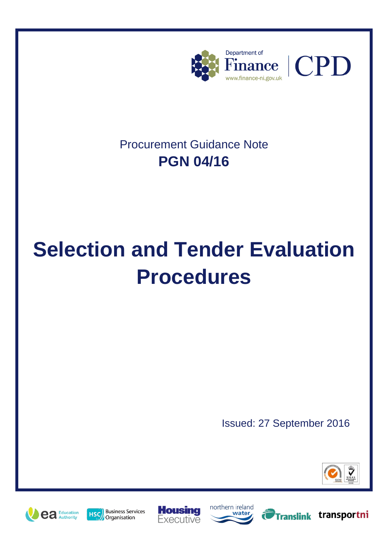

# Procurement Guidance Note **PGN 04/16**

# **Selection and Tender Evaluation Procedures**

Issued: 27 September 2016







Translink transportni





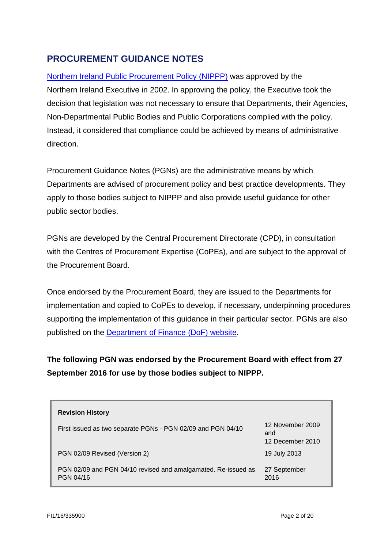# **PROCUREMENT GUIDANCE NOTES**

Northern [Ireland Public Procurement Policy](https://www.finance-ni.gov.uk/publications/ni-public-procurement-policy-document) (NIPPP) was approved by the Northern Ireland Executive in 2002. In approving the policy, the Executive took the decision that legislation was not necessary to ensure that Departments, their Agencies, Non-Departmental Public Bodies and Public Corporations complied with the policy. Instead, it considered that compliance could be achieved by means of administrative direction.

Procurement Guidance Notes (PGNs) are the administrative means by which Departments are advised of procurement policy and best practice developments. They apply to those bodies subject to NIPPP and also provide useful guidance for other public sector bodies.

PGNs are developed by the Central Procurement Directorate (CPD), in consultation with the Centres of Procurement Expertise (CoPEs), and are subject to the approval of the Procurement Board.

Once endorsed by the Procurement Board, they are issued to the Departments for implementation and copied to CoPEs to develop, if necessary, underpinning procedures supporting the implementation of this guidance in their particular sector. PGNs are also published on the [Department of Finance](https://www.finance-ni.gov.uk/articles/procurement-guidance-notes-pgns) (DoF) website.

**The following PGN was endorsed by the Procurement Board with effect from 27 September 2016 for use by those bodies subject to NIPPP.**

| <b>Revision History</b>                                                    |                                             |
|----------------------------------------------------------------------------|---------------------------------------------|
| First issued as two separate PGNs - PGN 02/09 and PGN 04/10                | 12 November 2009<br>and<br>12 December 2010 |
| PGN 02/09 Revised (Version 2)                                              | 19 July 2013                                |
| PGN 02/09 and PGN 04/10 revised and amalgamated. Re-issued as<br>PGN 04/16 | 27 September<br>2016                        |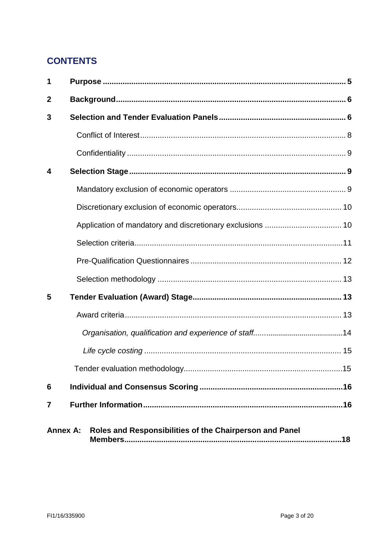# **CONTENTS**

| 1                |                                                         |  |
|------------------|---------------------------------------------------------|--|
| $\boldsymbol{2}$ |                                                         |  |
| 3                |                                                         |  |
|                  |                                                         |  |
|                  |                                                         |  |
| 4                |                                                         |  |
|                  |                                                         |  |
|                  |                                                         |  |
|                  |                                                         |  |
|                  |                                                         |  |
|                  |                                                         |  |
|                  |                                                         |  |
| 5                |                                                         |  |
|                  |                                                         |  |
|                  |                                                         |  |
|                  |                                                         |  |
|                  |                                                         |  |
| 6                |                                                         |  |
| 7                |                                                         |  |
| <b>Annex A:</b>  | Roles and Responsibilities of the Chairperson and Panel |  |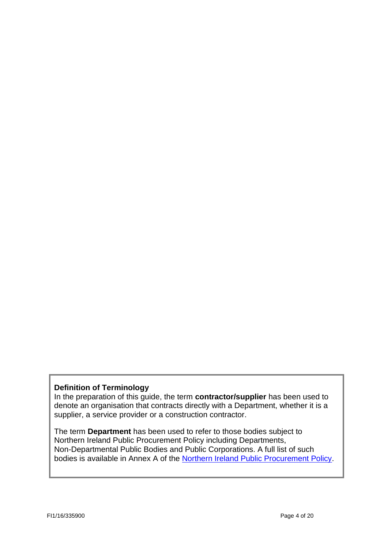#### **Definition of Terminology**

In the preparation of this guide, the term **contractor/supplier** has been used to denote an organisation that contracts directly with a Department, whether it is a supplier, a service provider or a construction contractor.

The term **Department** has been used to refer to those bodies subject to Northern Ireland Public Procurement Policy including Departments, Non-Departmental Public Bodies and Public Corporations. A full list of such bodies is available in Annex A of the [Northern Ireland Public Procurement Policy.](https://www.finance-ni.gov.uk/publications/ni-public-procurement-policy-document)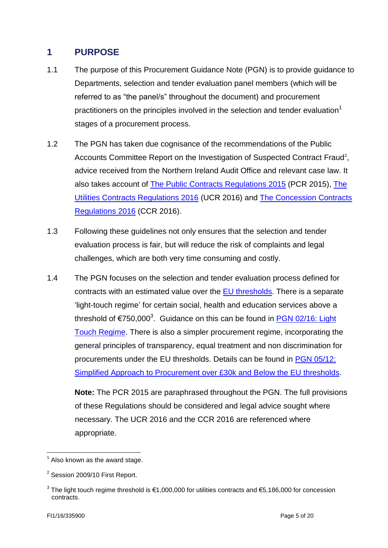# <span id="page-4-0"></span>**1 PURPOSE**

- 1.1 The purpose of this Procurement Guidance Note (PGN) is to provide guidance to Departments, selection and tender evaluation panel members (which will be referred to as "the panel/s" throughout the document) and procurement practitioners on the principles involved in the selection and tender evaluation<sup>1</sup> stages of a procurement process.
- 1.2 The PGN has taken due cognisance of the recommendations of the Public Accounts Committee Report on the Investigation of Suspected Contract Fraud<sup>2</sup>, advice received from the Northern Ireland Audit Office and relevant case law. It also takes account of [The Public Contracts Regulations 2015](http://www.legislation.gov.uk/uksi/2015/102/contents/made) (PCR 2015), [The](http://www.legislation.gov.uk/uksi/2016/274/contents/made)  [Utilities Contracts Regulations 2016](http://www.legislation.gov.uk/uksi/2016/274/contents/made) (UCR 2016) and The [Concession Contracts](http://www.legislation.gov.uk/uksi/2016/273/contents/made)  [Regulations](http://www.legislation.gov.uk/uksi/2016/273/contents/made) 2016 (CCR 2016).
- 1.3 Following these guidelines not only ensures that the selection and tender evaluation process is fair, but will reduce the risk of complaints and legal challenges, which are both very time consuming and costly.
- 1.4 The PGN focuses on the selection and tender evaluation process defined for contracts with an estimated value over the [EU thresholds.](http://www.ojeu.eu/thresholds.aspx) There is a separate 'light-touch regime' for certain social, health and education services above a threshold of €750,000<sup>3</sup>. Guidance on this can be found in **PGN 02/16: Light** [Touch Regime.](https://www.finance-ni.gov.uk/articles/procurement-guidance-notes-pgns) There is also a simpler procurement regime, incorporating the general principles of transparency, equal treatment and non discrimination for procurements under the EU thresholds. Details can be found in [PGN 05/12:](https://www.finance-ni.gov.uk/articles/procurement-guidance-notes-pgns)  [Simplified Approach to Procurement over £30k and Below the EU thresholds.](https://www.finance-ni.gov.uk/articles/procurement-guidance-notes-pgns)

**Note:** The PCR 2015 are paraphrased throughout the PGN. The full provisions of these Regulations should be considered and legal advice sought where necessary. The UCR 2016 and the CCR 2016 are referenced where appropriate.

1

 $<sup>1</sup>$  Also known as the award stage.</sup>

 $2$  Session 2009/10 First Report.

<sup>&</sup>lt;sup>3</sup> The light touch regime threshold is €1,000,000 for utilities contracts and €5,186,000 for concession contracts.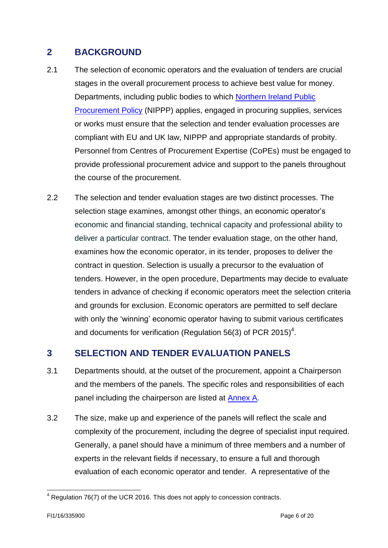# <span id="page-5-0"></span>**2 BACKGROUND**

- 2.1 The selection of economic operators and the evaluation of tenders are crucial stages in the overall procurement process to achieve best value for money. Departments, including public bodies to which [Northern Ireland Public](https://www.finance-ni.gov.uk/publications/ni-public-procurement-policy-document)  [Procurement Policy](https://www.finance-ni.gov.uk/publications/ni-public-procurement-policy-document) (NIPPP) applies, engaged in procuring supplies, services or works must ensure that the selection and tender evaluation processes are compliant with EU and UK law, NIPPP and appropriate standards of probity. Personnel from Centres of Procurement Expertise (CoPEs) must be engaged to provide professional procurement advice and support to the panels throughout the course of the procurement.
- 2.2 The selection and tender evaluation stages are two distinct processes. The selection stage examines, amongst other things, an economic operator's economic and financial standing, technical capacity and professional ability to deliver a particular contract. The tender evaluation stage, on the other hand, examines how the economic operator, in its tender, proposes to deliver the contract in question. Selection is usually a precursor to the evaluation of tenders. However, in the open procedure, Departments may decide to evaluate tenders in advance of checking if economic operators meet the selection criteria and grounds for exclusion. Economic operators are permitted to self declare with only the 'winning' economic operator having to submit various certificates and documents for verification (Regulation 56(3) of PCR 2015)<sup>4</sup>.

# <span id="page-5-1"></span>**3 SELECTION AND TENDER EVALUATION PANELS**

- 3.1 Departments should, at the outset of the procurement, appoint a Chairperson and the members of the panels. The specific roles and responsibilities of each panel including the chairperson are listed at [Annex A.](#page-16-0)
- 3.2 The size, make up and experience of the panels will reflect the scale and complexity of the procurement, including the degree of specialist input required. Generally, a panel should have a minimum of three members and a number of experts in the relevant fields if necessary, to ensure a full and thorough evaluation of each economic operator and tender. A representative of the

<sup>1</sup>  $4$  Regulation 76(7) of the UCR 2016. This does not apply to concession contracts.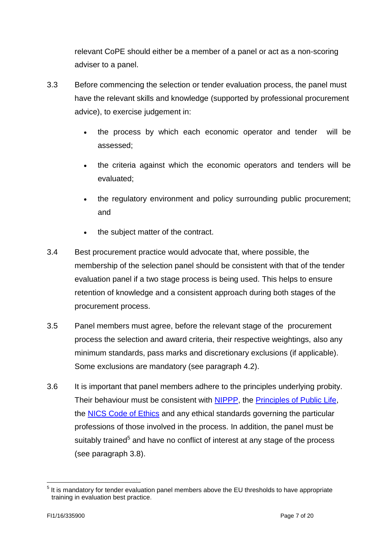relevant CoPE should either be a member of a panel or act as a non-scoring adviser to a panel.

- 3.3 Before commencing the selection or tender evaluation process, the panel must have the relevant skills and knowledge (supported by professional procurement advice), to exercise judgement in:
	- the process by which each economic operator and tender will be assessed;
	- the criteria against which the economic operators and tenders will be evaluated;
	- the regulatory environment and policy surrounding public procurement; and
	- the subject matter of the contract.
- 3.4 Best procurement practice would advocate that, where possible, the membership of the selection panel should be consistent with that of the tender evaluation panel if a two stage process is being used. This helps to ensure retention of knowledge and a consistent approach during both stages of the procurement process.
- 3.5 Panel members must agree, before the relevant stage of the procurement process the selection and award criteria, their respective weightings, also any minimum standards, pass marks and discretionary exclusions (if applicable). Some exclusions are mandatory (see paragraph 4.2).
- 3.6 It is important that panel members adhere to the principles underlying probity. Their behaviour must be consistent with [NIPPP,](https://www.finance-ni.gov.uk/publications/ni-public-procurement-policy-document) the [Principles of Public Life,](https://www.finance-ni.gov.uk/sites/default/files/publications/dfp/a.2.4-the-seven-principles-of-public-life.pdf) the **[NICS Code of Ethics](http://www.nicscommissioners.org/code-of-ethics.htm)** and any ethical standards governing the particular professions of those involved in the process. In addition, the panel must be suitably trained<sup>5</sup> and have no conflict of interest at any stage of the process (see paragraph 3.8).

<sup>&</sup>lt;u>.</u> <sup>5</sup> It is mandatory for tender evaluation panel members above the EU thresholds to have appropriate training in evaluation best practice.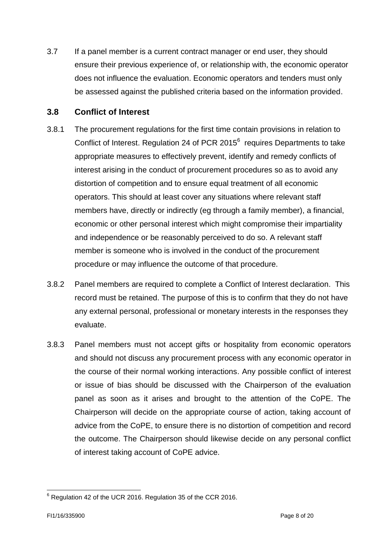3.7 If a panel member is a current contract manager or end user, they should ensure their previous experience of, or relationship with, the economic operator does not influence the evaluation. Economic operators and tenders must only be assessed against the published criteria based on the information provided.

#### <span id="page-7-0"></span>**3.8 Conflict of Interest**

- 3.8.1 The procurement regulations for the first time contain provisions in relation to Conflict of Interest. Regulation 24 of PCR 2015 $<sup>6</sup>$  requires Departments to take</sup> appropriate measures to effectively prevent, identify and remedy conflicts of interest arising in the conduct of procurement procedures so as to avoid any distortion of competition and to ensure equal treatment of all economic operators. This should at least cover any situations where relevant staff members have, directly or indirectly (eg through a family member), a financial, economic or other personal interest which might compromise their impartiality and independence or be reasonably perceived to do so. A relevant staff member is someone who is involved in the conduct of the procurement procedure or may influence the outcome of that procedure.
- 3.8.2 Panel members are required to complete a Conflict of Interest declaration. This record must be retained. The purpose of this is to confirm that they do not have any external personal, professional or monetary interests in the responses they evaluate.
- 3.8.3 Panel members must not accept gifts or hospitality from economic operators and should not discuss any procurement process with any economic operator in the course of their normal working interactions. Any possible conflict of interest or issue of bias should be discussed with the Chairperson of the evaluation panel as soon as it arises and brought to the attention of the CoPE. The Chairperson will decide on the appropriate course of action, taking account of advice from the CoPE, to ensure there is no distortion of competition and record the outcome. The Chairperson should likewise decide on any personal conflict of interest taking account of CoPE advice.

<sup>1</sup>  $6$  Regulation 42 of the UCR 2016. Regulation 35 of the CCR 2016.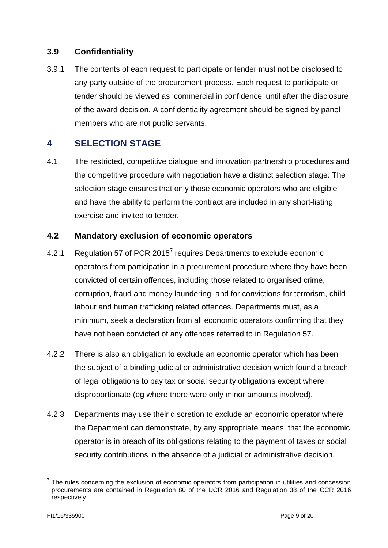#### <span id="page-8-0"></span>**3.9 Confidentiality**

3.9.1 The contents of each request to participate or tender must not be disclosed to any party outside of the procurement process. Each request to participate or tender should be viewed as 'commercial in confidence' until after the disclosure of the award decision. A confidentiality agreement should be signed by panel members who are not public servants.

# <span id="page-8-1"></span>**4 SELECTION STAGE**

4.1 The restricted, competitive dialogue and innovation partnership procedures and the competitive procedure with negotiation have a distinct selection stage. The selection stage ensures that only those economic operators who are eligible and have the ability to perform the contract are included in any short-listing exercise and invited to tender.

#### <span id="page-8-2"></span>**4.2 Mandatory exclusion of economic operators**

- 4.2.1 Regulation 57 of PCR 2015<sup>7</sup> requires Departments to exclude economic operators from participation in a procurement procedure where they have been convicted of certain offences, including those related to organised crime, corruption, fraud and money laundering, and for convictions for terrorism, child labour and human trafficking related offences. Departments must, as a minimum, seek a declaration from all economic operators confirming that they have not been convicted of any offences referred to in Regulation 57.
- 4.2.2 There is also an obligation to exclude an economic operator which has been the subject of a binding judicial or administrative decision which found a breach of legal obligations to pay tax or social security obligations except where disproportionate (eg where there were only minor amounts involved).
- 4.2.3 Departments may use their discretion to exclude an economic operator where the Department can demonstrate, by any appropriate means, that the economic operator is in breach of its obligations relating to the payment of taxes or social security contributions in the absence of a judicial or administrative decision.

<sup>&</sup>lt;u>.</u>  $7$  The rules concerning the exclusion of economic operators from participation in utilities and concession procurements are contained in Regulation 80 of the UCR 2016 and Regulation 38 of the CCR 2016 respectively.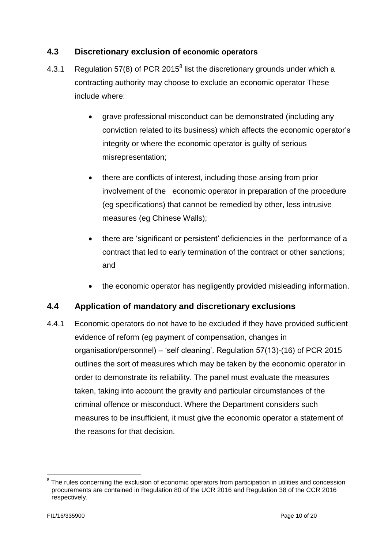#### <span id="page-9-0"></span>**4.3 Discretionary exclusion of economic operators**

- 4.3.1 Regulation 57(8) of PCR 2015<sup>8</sup> list the discretionary grounds under which a contracting authority may choose to exclude an economic operator These include where:
	- grave professional misconduct can be demonstrated (including any conviction related to its business) which affects the economic operator's integrity or where the economic operator is guilty of serious misrepresentation;
	- there are conflicts of interest, including those arising from prior involvement of the economic operator in preparation of the procedure (eg specifications) that cannot be remedied by other, less intrusive measures (eg Chinese Walls);
	- there are 'significant or persistent' deficiencies in the performance of a contract that led to early termination of the contract or other sanctions; and
	- the economic operator has negligently provided misleading information.

#### <span id="page-9-1"></span>**4.4 Application of mandatory and discretionary exclusions**

4.4.1 Economic operators do not have to be excluded if they have provided sufficient evidence of reform (eg payment of compensation, changes in organisation/personnel) – 'self cleaning'. Regulation 57(13)-(16) of PCR 2015 outlines the sort of measures which may be taken by the economic operator in order to demonstrate its reliability. The panel must evaluate the measures taken, taking into account the gravity and particular circumstances of the criminal offence or misconduct. Where the Department considers such measures to be insufficient, it must give the economic operator a statement of the reasons for that decision.

<sup>&</sup>lt;u>.</u> <sup>8</sup> The rules concerning the exclusion of economic operators from participation in utilities and concession procurements are contained in Regulation 80 of the UCR 2016 and Regulation 38 of the CCR 2016 respectively.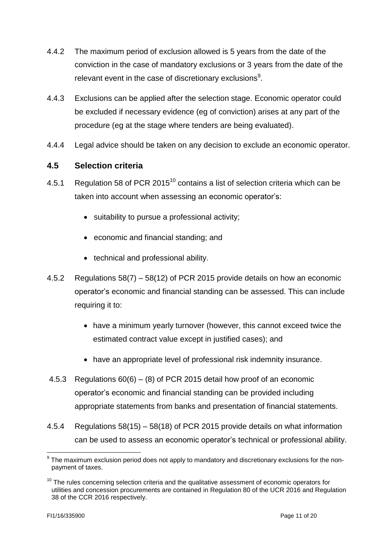- 4.4.2 The maximum period of exclusion allowed is 5 years from the date of the conviction in the case of mandatory exclusions or 3 years from the date of the relevant event in the case of discretionary exclusions<sup>9</sup>.
- 4.4.3 Exclusions can be applied after the selection stage. Economic operator could be excluded if necessary evidence (eg of conviction) arises at any part of the procedure (eg at the stage where tenders are being evaluated).
- <span id="page-10-0"></span>4.4.4 Legal advice should be taken on any decision to exclude an economic operator.

#### **4.5 Selection criteria**

- 4.5.1 Regulation 58 of PCR 2015 $^{10}$  contains a list of selection criteria which can be taken into account when assessing an economic operator's:
	- suitability to pursue a professional activity;
	- economic and financial standing; and
	- technical and professional ability.
- 4.5.2 Regulations 58(7) 58(12) of PCR 2015 provide details on how an economic operator's economic and financial standing can be assessed. This can include requiring it to:
	- have a minimum yearly turnover (however, this cannot exceed twice the estimated contract value except in justified cases); and
	- have an appropriate level of professional risk indemnity insurance.
- 4.5.3 Regulations 60(6) (8) of PCR 2015 detail how proof of an economic operator's economic and financial standing can be provided including appropriate statements from banks and presentation of financial statements.
- 4.5.4 Regulations 58(15) 58(18) of PCR 2015 provide details on what information can be used to assess an economic operator's technical or professional ability.

1

 $9$  The maximum exclusion period does not apply to mandatory and discretionary exclusions for the nonpayment of taxes.

 $10$  The rules concerning selection criteria and the qualitative assessment of economic operators for utilities and concession procurements are contained in Regulation 80 of the UCR 2016 and Regulation 38 of the CCR 2016 respectively.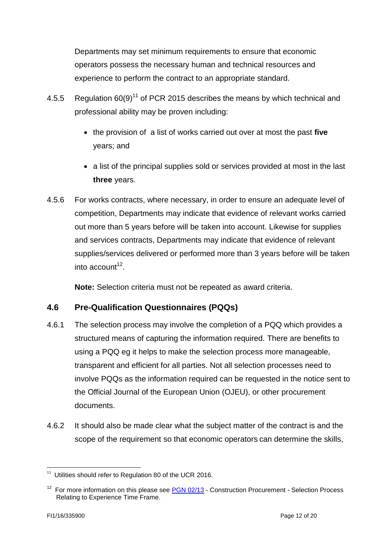Departments may set minimum requirements to ensure that economic operators possess the necessary human and technical resources and experience to perform the contract to an appropriate standard.

- 4.5.5 Regulation 60(9)<sup>11</sup> of PCR 2015 describes the means by which technical and professional ability may be proven including:
	- the provision of a list of works carried out over at most the past **five**  years; and
	- a list of the principal supplies sold or services provided at most in the last **three** years.
- 4.5.6 For works contracts, where necessary, in order to ensure an adequate level of competition, Departments may indicate that evidence of relevant works carried out more than 5 years before will be taken into account. Likewise for supplies and services contracts, Departments may indicate that evidence of relevant supplies/services delivered or performed more than 3 years before will be taken into account<sup>12</sup>.

**Note:** Selection criteria must not be repeated as award criteria.

#### <span id="page-11-0"></span>**4.6 Pre-Qualification Questionnaires (PQQs)**

- 4.6.1 The selection process may involve the completion of a PQQ which provides a structured means of capturing the information required. There are benefits to using a PQQ eg it helps to make the selection process more manageable, transparent and efficient for all parties. Not all selection processes need to involve PQQs as the information required can be requested in the notice sent to the Official Journal of the European Union (OJEU), or other procurement documents.
- 4.6.2 It should also be made clear what the subject matter of the contract is and the scope of the requirement so that economic operators can determine the skills,

 11 Utilities should refer to Regulation 80 of the UCR 2016.

<sup>&</sup>lt;sup>12</sup> For more information on this please see **PGN 02/13** - Construction Procurement - Selection Process Relating to Experience Time Frame.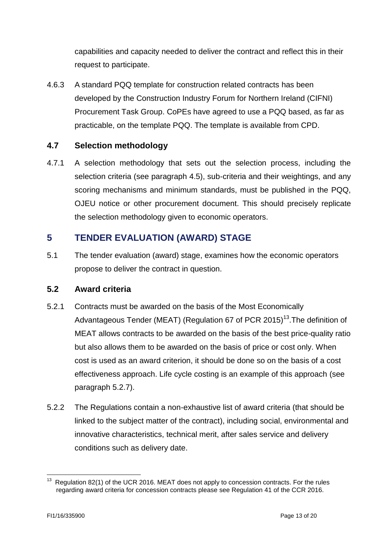capabilities and capacity needed to deliver the contract and reflect this in their request to participate.

4.6.3 A standard PQQ template for construction related contracts has been developed by the Construction Industry Forum for Northern Ireland (CIFNI) Procurement Task Group. CoPEs have agreed to use a PQQ based, as far as practicable, on the template PQQ. The template is available from CPD.

### <span id="page-12-0"></span>**4.7 Selection methodology**

4.7.1 A selection methodology that sets out the selection process, including the selection criteria (see paragraph 4.5), sub-criteria and their weightings, and any scoring mechanisms and minimum standards, must be published in the PQQ, OJEU notice or other procurement document. This should precisely replicate the selection methodology given to economic operators.

# <span id="page-12-1"></span>**5 TENDER EVALUATION (AWARD) STAGE**

5.1 The tender evaluation (award) stage, examines how the economic operators propose to deliver the contract in question.

#### <span id="page-12-2"></span>**5.2 Award criteria**

- 5.2.1 Contracts must be awarded on the basis of the Most Economically Advantageous Tender (MEAT) (Regulation 67 of PCR 2015)<sup>13</sup>. The definition of MEAT allows contracts to be awarded on the basis of the best price-quality ratio but also allows them to be awarded on the basis of price or cost only. When cost is used as an award criterion, it should be done so on the basis of a cost effectiveness approach. Life cycle costing is an example of this approach (see paragraph 5.2.7).
- 5.2.2 The Regulations contain a non-exhaustive list of award criteria (that should be linked to the subject matter of the contract), including social, environmental and innovative characteristics, technical merit, after sales service and delivery conditions such as delivery date.

<sup>&</sup>lt;u>.</u>  $13$  Regulation 82(1) of the UCR 2016. MEAT does not apply to concession contracts. For the rules regarding award criteria for concession contracts please see Regulation 41 of the CCR 2016.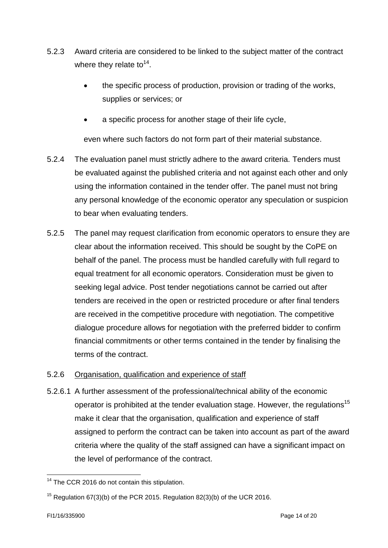- 5.2.3 Award criteria are considered to be linked to the subject matter of the contract where they relate to<sup>14</sup>.
	- the specific process of production, provision or trading of the works, supplies or services; or
	- a specific process for another stage of their life cycle,

even where such factors do not form part of their material substance.

- 5.2.4 The evaluation panel must strictly adhere to the award criteria. Tenders must be evaluated against the published criteria and not against each other and only using the information contained in the tender offer. The panel must not bring any personal knowledge of the economic operator any speculation or suspicion to bear when evaluating tenders.
- 5.2.5 The panel may request clarification from economic operators to ensure they are clear about the information received. This should be sought by the CoPE on behalf of the panel. The process must be handled carefully with full regard to equal treatment for all economic operators. Consideration must be given to seeking legal advice. Post tender negotiations cannot be carried out after tenders are received in the open or restricted procedure or after final tenders are received in the competitive procedure with negotiation. The competitive dialogue procedure allows for negotiation with the preferred bidder to confirm financial commitments or other terms contained in the tender by finalising the terms of the contract.

#### <span id="page-13-0"></span>5.2.6 Organisation, qualification and experience of staff

5.2.6.1 A further assessment of the professional/technical ability of the economic operator is prohibited at the tender evaluation stage. However, the regulations<sup>15</sup> make it clear that the organisation, qualification and experience of staff assigned to perform the contract can be taken into account as part of the award criteria where the quality of the staff assigned can have a significant impact on the level of performance of the contract.

<sup>&</sup>lt;u>.</u>  $14$  The CCR 2016 do not contain this stipulation.

<sup>&</sup>lt;sup>15</sup> Regulation  $67(3)(b)$  of the PCR 2015. Regulation  $82(3)(b)$  of the UCR 2016.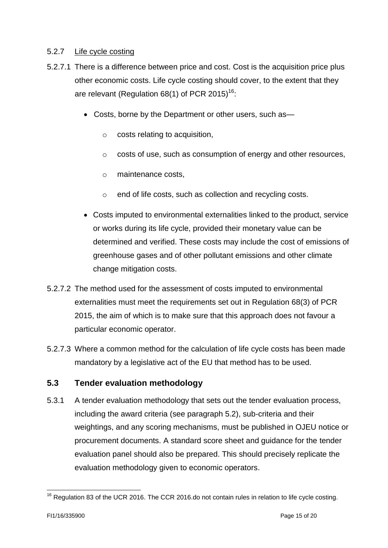#### <span id="page-14-0"></span>5.2.7 Life cycle costing

- 5.2.7.1 There is a difference between price and cost. Cost is the acquisition price plus other economic costs. Life cycle costing should cover, to the extent that they are relevant (Regulation 68(1) of PCR 2015)<sup>16</sup>:
	- Costs, borne by the Department or other users, such as
		- o costs relating to acquisition,
		- o costs of use, such as consumption of energy and other resources,
		- o maintenance costs,
		- o end of life costs, such as collection and recycling costs.
	- Costs imputed to environmental externalities linked to the product, service or works during its life cycle, provided their monetary value can be determined and verified. These costs may include the cost of emissions of greenhouse gases and of other pollutant emissions and other climate change mitigation costs.
- 5.2.7.2 The method used for the assessment of costs imputed to environmental externalities must meet the requirements set out in Regulation 68(3) of PCR 2015, the aim of which is to make sure that this approach does not favour a particular economic operator.
- 5.2.7.3 Where a common method for the calculation of life cycle costs has been made mandatory by a legislative act of the EU that method has to be used.

#### <span id="page-14-1"></span>**5.3 Tender evaluation methodology**

5.3.1 A tender evaluation methodology that sets out the tender evaluation process, including the award criteria (see paragraph 5.2), sub-criteria and their weightings, and any scoring mechanisms, must be published in OJEU notice or procurement documents. A standard score sheet and guidance for the tender evaluation panel should also be prepared. This should precisely replicate the evaluation methodology given to economic operators.

<sup>1</sup>  $16$  Regulation 83 of the UCR 2016. The CCR 2016.do not contain rules in relation to life cycle costing.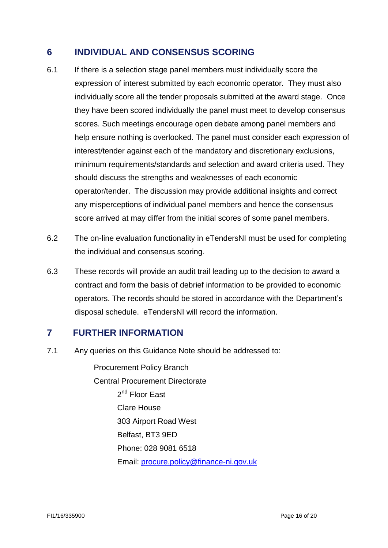# <span id="page-15-0"></span>**6 INDIVIDUAL AND CONSENSUS SCORING**

- 6.1 If there is a selection stage panel members must individually score the expression of interest submitted by each economic operator. They must also individually score all the tender proposals submitted at the award stage. Once they have been scored individually the panel must meet to develop consensus scores. Such meetings encourage open debate among panel members and help ensure nothing is overlooked. The panel must consider each expression of interest/tender against each of the mandatory and discretionary exclusions, minimum requirements/standards and selection and award criteria used. They should discuss the strengths and weaknesses of each economic operator/tender. The discussion may provide additional insights and correct any misperceptions of individual panel members and hence the consensus score arrived at may differ from the initial scores of some panel members.
- 6.2 The on-line evaluation functionality in eTendersNI must be used for completing the individual and consensus scoring.
- 6.3 These records will provide an audit trail leading up to the decision to award a contract and form the basis of debrief information to be provided to economic operators. The records should be stored in accordance with the Department's disposal schedule. eTendersNI will record the information.

#### **7 FURTHER INFORMATION**

7.1 Any queries on this Guidance Note should be addressed to:

<span id="page-15-1"></span>Procurement Policy Branch Central Procurement Directorate 2<sup>nd</sup> Floor East Clare House 303 Airport Road West Belfast, BT3 9ED Phone: 028 9081 6518 Email: [procure.policy@finance-ni.gov.uk](mailto:procure.policy@finance-ni.gov.uk)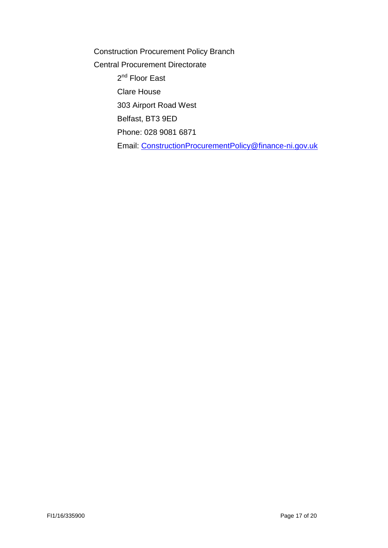<span id="page-16-0"></span>Construction Procurement Policy Branch Central Procurement Directorate 2<sup>nd</sup> Floor East Clare House 303 Airport Road West Belfast, BT3 9ED Phone: 028 9081 6871 Email: [ConstructionProcurementPolicy@finance-ni.gov.uk](mailto:ConstructionProcurementPolicy@finance-ni.gov.uk)

FI1/16/335900 Page 17 of 20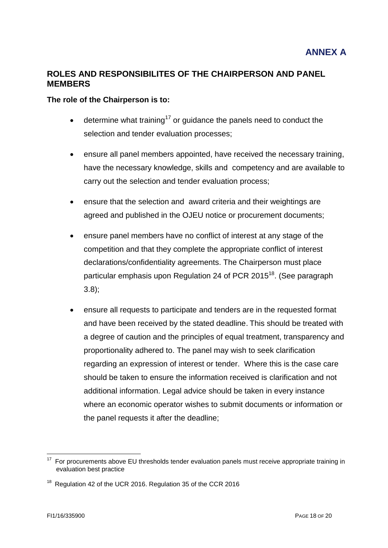#### **ROLES AND RESPONSIBILITES OF THE CHAIRPERSON AND PANEL MEMBERS**

#### **The role of the Chairperson is to:**

- $\bullet$  determine what training<sup>17</sup> or guidance the panels need to conduct the selection and tender evaluation processes;
- ensure all panel members appointed, have received the necessary training, have the necessary knowledge, skills and competency and are available to carry out the selection and tender evaluation process;
- ensure that the selection and award criteria and their weightings are agreed and published in the OJEU notice or procurement documents;
- ensure panel members have no conflict of interest at any stage of the competition and that they complete the appropriate conflict of interest declarations/confidentiality agreements. The Chairperson must place particular emphasis upon Regulation 24 of PCR 2015<sup>18</sup>. (See paragraph 3.8);
- ensure all requests to participate and tenders are in the requested format and have been received by the stated deadline. This should be treated with a degree of caution and the principles of equal treatment, transparency and proportionality adhered to. The panel may wish to seek clarification regarding an expression of interest or tender. Where this is the case care should be taken to ensure the information received is clarification and not additional information. Legal advice should be taken in every instance where an economic operator wishes to submit documents or information or the panel requests it after the deadline;

<sup>1</sup> <sup>17</sup> For procurements above EU thresholds tender evaluation panels must receive appropriate training in evaluation best practice

<sup>&</sup>lt;sup>18</sup> Regulation 42 of the UCR 2016. Regulation 35 of the CCR 2016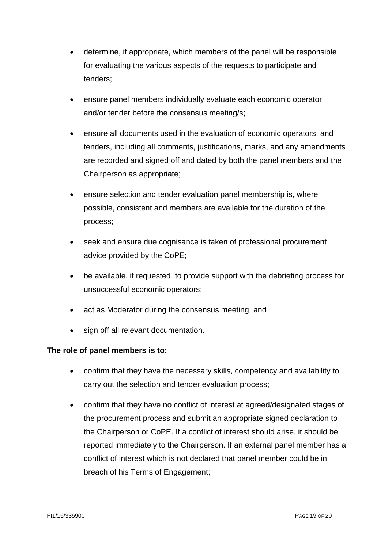- determine, if appropriate, which members of the panel will be responsible for evaluating the various aspects of the requests to participate and tenders;
- ensure panel members individually evaluate each economic operator and/or tender before the consensus meeting/s;
- ensure all documents used in the evaluation of economic operators and tenders, including all comments, justifications, marks, and any amendments are recorded and signed off and dated by both the panel members and the Chairperson as appropriate;
- ensure selection and tender evaluation panel membership is, where possible, consistent and members are available for the duration of the process;
- seek and ensure due cognisance is taken of professional procurement advice provided by the CoPE;
- be available, if requested, to provide support with the debriefing process for unsuccessful economic operators;
- act as Moderator during the consensus meeting: and
- sign off all relevant documentation.

#### **The role of panel members is to:**

- confirm that they have the necessary skills, competency and availability to carry out the selection and tender evaluation process;
- confirm that they have no conflict of interest at agreed/designated stages of the procurement process and submit an appropriate signed declaration to the Chairperson or CoPE. If a conflict of interest should arise, it should be reported immediately to the Chairperson. If an external panel member has a conflict of interest which is not declared that panel member could be in breach of his Terms of Engagement;